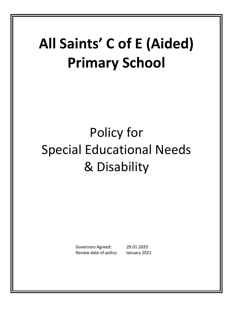# **All Saints' C of E (Aided) Primary School**

# Policy for Special Educational Needs & Disability

 Governors Agreed: 29.01.2020 Review date of policy: January 2021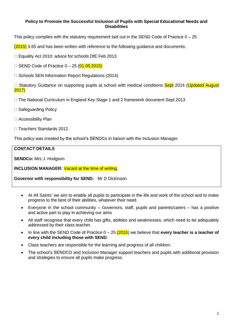#### **Policy to Promote the Successful Inclusion of Pupils with Special Educational Needs and Disabilities**

This policy complies with the statutory requirement laid out in the SEND Code of Practice 0 – 25

 $(2015)$  3.65 and has been written with reference to the following quidance and documents:

□ Equality Act 2010: advice for schools DfE Feb 2013

 $\Box$  SEND Code of Practice  $0 - 25$  ( $01.05.2015$ )

 $\Box$  Schools SEN Information Report Regulations (2014)

 $\Box$  Statutory Guidance on supporting pupils at school with medical conditions  $S$ ept 2014 (Updated August 2017)

 $\Box$  The National Curriculum in England Key Stage 1 and 2 framework document Sept 2013

- □ Safeguarding Policy
- □ Accessibility Plan
- □ Teachers Standards 2012

This policy was created by the school's SENDCo in liaison with the Inclusion Manager.

### **CONTACT DETAILS**

**SENDCo:** Mrs J. Hodgson

**INCLUSION MANAGER:** Vacant at the time of writing.

**Governor with responsibility for SEND:** Mr D Dickinson

- At All Saints' we aim to enable all pupils to participate in the life and work of the school and to make progress to the best of their abilities, whatever their need.
- Everyone in the school community Governors, staff, pupils and parents/carers has a positive and active part to play in achieving our aims
- All staff recognise that every child has gifts, abilities and weaknesses, which need to be adequately addressed by their class teacher.
- In line with the SEND Code of Practice 0 25 (2015) we believe that **every teacher is a teacher of every child including those with SEND**.
- Class teachers are responsible for the learning and progress of all children.
- The school's SENDCO and Inclusion Manager support teachers and pupils with additional provision and strategies to ensure all pupils make progress.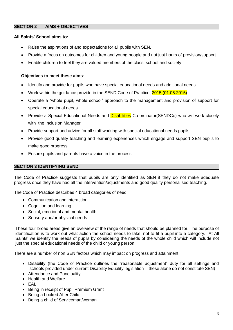#### **SECTION 2 AIMS + OBJECTIVES**

#### **All Saints' School aims to:**

- Raise the aspirations of and expectations for all pupils with SEN.
- Provide a focus on outcomes for children and young people and not just hours of provision/support.
- Enable children to feel they are valued members of the class, school and society.

#### **Objectives to meet these aims**:

- Identify and provide for pupils who have special educational needs and additional needs
- Work within the guidance provide in the SEND Code of Practice, 2015 (01.05.2015)
- Operate a "whole pupil, whole school" approach to the management and provision of support for special educational needs
- Provide a Special Educational Needs and **Disabilities** Co-ordinator(SENDCo) who will work closely with the Inclusion Manager
- Provide support and advice for all staff working with special educational needs pupils
- Provide good quality teaching and learning experiences which engage and support SEN pupils to make good progress
- Ensure pupils and parents have a voice in the process

#### **SECTION 3 IDENTIFYING SEND**

The Code of Practice suggests that pupils are only identified as SEN if they do not make adequate progress once they have had all the intervention/adjustments and good quality personalised teaching.

The Code of Practice describes 4 broad categories of need:

- Communication and interaction
- Cognition and learning
- Social, emotional and mental health
- Sensory and/or physical needs

These four broad areas give an overview of the range of needs that should be planned for. The purpose of identification is to work out what action the school needs to take, not to fit a pupil into a category. At All Saints' we identify the needs of pupils by considering the needs of the whole child which will include not just the special educational needs of the child or young person.

There are a number of non SEN factors which may impact on progress and attainment:

- Disability (the Code of Practice outlines the "reasonable adjustment" duty for all settings and schools provided under current Disability Equality legislation – these alone do not constitute SEN)
- Attendance and Punctuality
- Health and Welfare
- $\bullet$  FAI
- Being in receipt of Pupil Premium Grant
- Being a Looked After Child
- Being a child of Serviceman/woman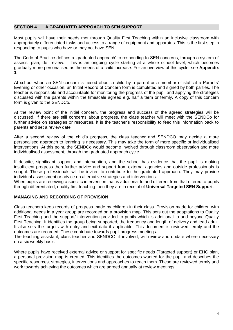#### **SECTION 4 A GRADUATED APPROACH TO SEN SUPPORT**

Most pupils will have their needs met through Quality First Teaching within an inclusive classroom with appropriately differentiated tasks and access to a range of equipment and apparatus. This is the first step in responding to pupils who have or may not have SEN.

The Code of Practice defines a 'graduated approach' to responding to SEN concerns, through a system of assess, plan, do, review. This is an ongoing cycle starting at a whole school level, which becomes gradually more personalised as the needs of a child increase. For an overview of this cycle, see **Appendix 1**

At school when an SEN concern is raised about a child by a parent or a member of staff at a Parents' Evening or other occasion, an Initial Record of Concern form is completed and signed by both parties. The teacher is responsible and accountable for monitoring the progress of the pupil and applying the strategies discussed with the parents within the timescale agreed e.g. half a term or termly. A copy of this concern form is given to the SENDCo.

At the review point of the initial concern, the progress and success of the agreed strategies will be discussed. If there are still concerns about progress, the class teacher will meet with the SENDCo for further advice on strategies or resources. It is the teacher's responsibility to feed this information back to parents and set a review date.

After a second review of the child's progress, the class teacher and SENDCO may decide a more personalised approach to learning is necessary. This may take the form of more specific or individualised interventions. At this point, the SENDCo would become involved through classroom observation and more individualised assessment, through the graduated approach cycle.

If despite, significant support and intervention, and the school has evidence that the pupil is making insufficient progress then further advice and support from external agencies and outside professionals is sought. These professionals will be invited to contribute to the graduated approach. They may provide individual assessment or advice on alternative strategies and interventions.

When pupils are receiving a specific intervention that is additional to and different from that offered to pupils through differentiated, quality first teaching then they are in receipt of **Universal Targeted SEN Support**.

#### **MANAGING AND RECORDING OF PROVISION**

Class teachers keep records of progress made by children in their class. Provision made for children with additional needs in a year group are recorded on a provision map. This sets out the adaptations to Quality First Teaching and the support/ intervention provided to pupils which is additional to and beyond Quality First Teaching. It identifies the group being supported, the frequency and length of delivery and lead adult. It also sets the targets with entry and exit data if applicable. This document is reviewed termly and the outcomes are recorded. These contribute towards pupil progress meetings.

The teaching assistant, class teacher and SENDCO, if involved, will review and update where necessary on a six weekly basis.

Where pupils have received external advice or support for specific needs (Targeted support) or EHC plan, a personal provision map is created. This identifies the outcomes wanted for the pupil and describes the specific resources, strategies, interventions and approaches to reach them. These are reviewed termly and work towards achieving the outcomes which are agreed annually at review meetings.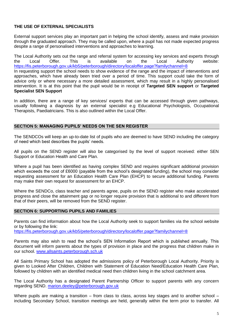### **THE USE OF EXTERNAL SPECIALISTS**

External support services play an important part in helping the school identify, assess and make provision through the graduated approach. They may be called upon, where a pupil has not made expected progress despite a range of personalised interventions and approaches to learning.

The Local Authority sets out the range and referral system for accessing key services and experts through the Local Offer. This is available on the Local Authority website: <https://fis.peterborough.gov.uk/kb5/peterborough/directory/localoffer.page?familychannel=8> In requesting support the school needs to show evidence of the range and the impact of interventions and approaches, which have already been tried over a period of time. This support could take the form of advice only or where necessary a more detailed assessment, which may result in a highly personalised intervention. It is at this point that the pupil would be in receipt of **Targeted SEN support** or **Targeted Specialist SEN Support**

In addition, there are a range of key services/ experts that can be accessed through given pathways, usually following a diagnosis by an external specialist e.g Educational Psychologists, Occupational Therapists, Paediatricians. This is also outlined within the Local Offer.

#### **SECTION 5: MANAGING PUPILS' NEEDS ON THE SEN REGISTER**

The SENDCOs will keep an up-to-date list of pupils who are deemed to have SEND including the category of need which best describes the pupils' needs.

All pupils on the SEND register will also be categorised by the level of support received: either SEN Support or Education Health and Care Plan.

Where a pupil has been identified as having complex SEND and requires significant additional provision which exceeds the cost of £6000 (payable from the school's designated funding), the school may consider requesting assessment for an Education Health Care Plan (EHCP) to secure additional funding. Parents may make their own request for assessment for an EHCP.

Where the SENDCo, class teacher and parents agree, pupils on the SEND register who make accelerated progress and close the attainment gap or no longer require provision that is additional to and different from that of their peers, will be removed from the SEND register.

#### **SECTION 6: SUPPORTING PUPILS AND FAMILIES**

Parents can find information about how the Local Authority seek to support families via the school website or by following the link:

<https://fis.peterborough.gov.uk/kb5/peterborough/directory/localoffer.page?familychannel=8>

Parents may also wish to read the school's SEN Information Report which is published annually. This document will inform parents about the types of provision in place and the progress that children make in our school. [www.allsaints.peterborough.sch.uk](http://www.allsaints.peterborough.sch.uk/)

All Saints Primary School has adopted the admissions policy of Peterborough Local Authority. Priority is given to Looked After Children, Children with Statement of Education Need/Education Health Care Plan, followed by children with an identified medical need then children living in the school catchment area.

The Local Authority has a designated Parent Partnership Officer to support parents with any concern regarding SEND. [marion.deeley@peterborough.gov.uk](mailto:marion.deeley@peterborough.gov.uk)

Where pupils are making a transition – from class to class, across key stages and to another school – including Secondary School, transition meetings are held, generally within the term prior to transfer. All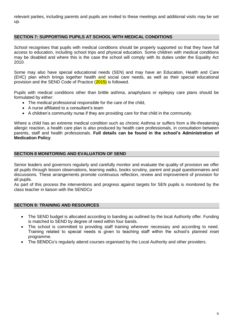relevant parties, including parents and pupils are invited to these meetings and additional visits may be set up.

#### **SECTION 7: SUPPORTING PUPILS AT SCHOOL WITH MEDICAL CONDITIONS**

School recognises that pupils with medical conditions should be properly supported so that they have full access to education, including school trips and physical education. Some children with medical conditions may be disabled and where this is the case the school will comply with its duties under the Equality Act 2010.

Some may also have special educational needs (SEN) and may have an Education, Health and Care (EHC) plan which brings together health and social care needs, as well as their special educational provision and the SEND Code of Practice (2015) is followed.

Pupils with medical conditions other than brittle asthma, anaphylaxis or epilepsy care plans should be formulated by either:

- The medical professional responsible for the care of the child,
- A nurse affiliated to a consultant's team
- A children's community nurse if they are providing care for that child in the community.

Where a child has an extreme medical condition such as chronic Asthma or suffers from a life-threatening allergic reaction, a health care plan is also produced by health care professionals, in consultation between parents, staff and health professionals. **Full details can be found in the school's Administration of Medication Policy**.

#### **SECTION 8 MONITORING AND EVALUATION OF SEND**

Senior leaders and governors regularly and carefully monitor and evaluate the quality of provision we offer all pupils through lesson observations, learning walks, books scrutiny, parent and pupil questionnaires and discussions. These arrangements promote continuous reflection, review and improvement of provision for all pupils.

As part of this process the interventions and progress against targets for SEN pupils is monitored by the class teacher in liaison with the SENDCo

#### **SECTION 9: TRAINING AND RESOURCES**

- The SEND budget is allocated according to banding as outlined by the local Authority offer. Funding is matched to SEND by degree of need within four bands.
- The school is committed to providing staff training wherever necessary and according to need. Training related to special needs is given to teaching staff within the school's planned inset programme.
- The SENDCo's regularly attend courses organised by the Local Authority and other providers.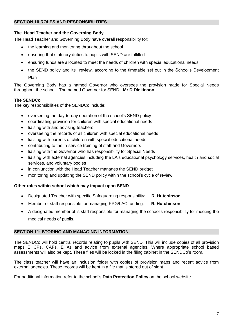#### **The Head Teacher and the Governing Body**

The Head Teacher and Governing Body have overall responsibility for:

- the learning and monitoring throughout the school
- ensuring that statutory duties to pupils with SEND are fulfilled
- ensuring funds are allocated to meet the needs of children with special educational needs
- the SEND policy and its review, according to the timetable set out in the School's Development Plan

The Governing Body has a named Governor who oversees the provision made for Special Needs throughout the school. The named Governor for SEND: **Mr D Dickinson**

### **The SENDCo**

The key responsibilities of the SENDCo include:

- overseeing the day-to-day operation of the school's SEND policy
- coordinating provision for children with special educational needs
- liaising with and advising teachers
- overseeing the records of all children with special educational needs
- liaising with parents of children with special educational needs
- contributing to the in-service training of staff and Governors
- liaising with the Governor who has responsibility for Special Needs
- liaising with external agencies including the LA's educational psychology services, health and social services, and voluntary bodies
- in conjunction with the Head Teacher manages the SEND budget
- monitoring and updating the SEND policy within the school's cycle of review.

#### **Other roles within school which may impact upon SEND**

- Designated Teacher with specific Safeguarding responsibility: **R. Hutchinson**
- Member of staff responsible for managing PPG/LAC funding: **R. Hutchinson**
- A designated member of is staff responsible for managing the school's responsibility for meeting the medical needs of pupils.

#### **SECTION 11: STORING AND MANAGING INFORMATION**

The SENDCo will hold central records relating to pupils with SEND. This will include copies of all provision maps EHCPs, CAFs, EHAs and advice from external agencies. Where appropriate school based assessments will also be kept. These files will be locked in the filing cabinet in the SENDCo's room.

The class teacher will have an Inclusion folder with copies of provision maps and recent advice from external agencies. These records will be kept in a file that is stored out of sight.

For additional information refer to the school's **Data Protection Policy** on the school website.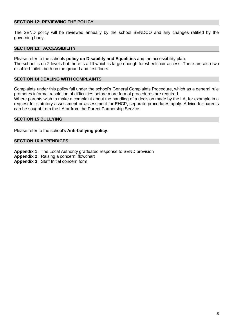#### **SECTION 12: REVIEWING THE POLICY**

The SEND policy will be reviewed annually by the school SENDCO and any changes ratified by the governing body.

#### **SECTION 13: ACCESSIBILITY**

Please refer to the schools **policy on Disability and Equalities** and the accessibility plan.

The school is on 2 levels but there is a lift which is large enough for wheelchair access. There are also two disabled toilets both on the ground and first floors.

#### **SECTION 14 DEALING WITH COMPLAINTS**

Complaints under this policy fall under the school's General Complaints Procedure, which as a general rule promotes informal resolution of difficulties before more formal procedures are required.

Where parents wish to make a complaint about the handling of a decision made by the LA, for example in a request for statutory assessment or assessment for EHCP, separate procedures apply. Advice for parents can be sought from the LA or from the Parent Partnership Service.

#### **SECTION 15 BULLYING**

Please refer to the school's **Anti-bullying policy**.

#### **SECTION 16 APPENDICES**

- **Appendix 1** The Local Authority graduated response to SEND provision
- **Appendix 2** Raising a concern: flowchart
- **Appendix 3** Staff Initial concern form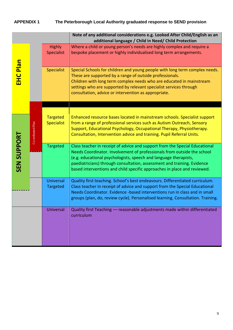## **APPENDIX 1 The Peterborough Local Authority graduated response to SEND provision**

|                    |                   |                                      | Note of any additional considerations e.g. Looked After Child/English as an<br>additional language / Child in Need/ Child Protection                                                                                                                                                                                                                                              |
|--------------------|-------------------|--------------------------------------|-----------------------------------------------------------------------------------------------------------------------------------------------------------------------------------------------------------------------------------------------------------------------------------------------------------------------------------------------------------------------------------|
|                    |                   | <b>Highly</b><br>Specialist          | Where a child or young person's needs are highly complex and require a<br>bespoke placement or highly individualised long term arrangements.                                                                                                                                                                                                                                      |
| <b>EHC Plan</b>    |                   | <b>Specialist</b>                    | Special Schools for children and young people with long term complex needs.<br>These are supported by a range of outside professionals.<br>Children with long term complex needs who are educated in mainstream<br>settings who are supported by relevant specialist services through<br>consultation, advice or intervention as appropriate.                                     |
|                    |                   |                                      |                                                                                                                                                                                                                                                                                                                                                                                   |
|                    | Co-ordinated Plan | <b>Targeted</b><br><b>Specialist</b> | Enhanced resource bases located in mainstream schools. Specialist support<br>from a range of professional services such as Autism Outreach, Sensory<br>Support, Educational Psychology, Occupational Therapy, Physiotherapy.<br>Consultation, Intervention advice and training. Pupil Referral Units.                                                                             |
| <b>SEN SUPPORT</b> |                   | <b>Targeted</b>                      | Class teacher in receipt of advice and support from the Special Educational<br>Needs Coordinator. Involvement of professionals from outside the school<br>(e.g. educational psychologists, speech and language therapists,<br>paediatricians) through consultation, assessment and training. Evidence<br>based interventions and child specific approaches in place and reviewed. |
|                    |                   | <b>Universal</b><br><b>Targeted</b>  | Quality first teaching. School's best endeavours. Differentiated curriculum.<br>Class teacher in receipt of advice and support from the Special Educational<br>Needs Coordinator. Evidence -based interventions run in class and in small<br>groups (plan, do, review cycle). Personalised learning. Consultation. Training.                                                      |
|                    |                   | Universal                            | Quality first Teaching - reasonable adjustments made within differentiated<br>curriculum                                                                                                                                                                                                                                                                                          |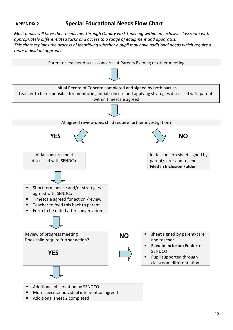### **APPENDIX 2 Special Educational Needs Flow Chart**

*Most pupils will have their needs met through Quality First Teaching within an inclusive classroom with appropriately differentiated tasks and access to a range of equipment and apparatus. This chart explains the process of identifying whether a pupil may have additional needs which require a more individual approach.* 



Additional sheet 2 completed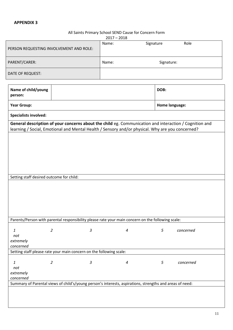#### All Saints Primary School SEND Cause for Concern Form

|                                                   |                                                                                                        | $2017 - 2018$    |  |                |                |  |  |  |  |  |
|---------------------------------------------------|--------------------------------------------------------------------------------------------------------|------------------|--|----------------|----------------|--|--|--|--|--|
|                                                   | PERSON REQUESTING INVOLVEMENT AND ROLE:                                                                | Name:            |  | Signature      | Role           |  |  |  |  |  |
|                                                   |                                                                                                        |                  |  |                |                |  |  |  |  |  |
| PARENT/CARER:                                     |                                                                                                        | Name:            |  | Signature:     |                |  |  |  |  |  |
| DATE OF REQUEST:                                  |                                                                                                        |                  |  |                |                |  |  |  |  |  |
| Name of child/young<br>person:                    |                                                                                                        |                  |  |                |                |  |  |  |  |  |
| <b>Year Group:</b>                                |                                                                                                        |                  |  |                | Home language: |  |  |  |  |  |
| <b>Specialists involved:</b>                      |                                                                                                        |                  |  |                |                |  |  |  |  |  |
|                                                   | General description of your concerns about the child eg. Communication and interaction / Cognition and |                  |  |                |                |  |  |  |  |  |
|                                                   | learning / Social, Emotional and Mental Health / Sensory and/or physical. Why are you concerned?       |                  |  |                |                |  |  |  |  |  |
|                                                   | Setting staff desired outcome for child:                                                               |                  |  |                |                |  |  |  |  |  |
|                                                   |                                                                                                        |                  |  |                |                |  |  |  |  |  |
|                                                   | Parents/Person with parental responsibility please rate your main concern on the following scale:      |                  |  |                |                |  |  |  |  |  |
| $\boldsymbol{1}$<br>not<br>extremely<br>concerned | $\overline{2}$<br>3                                                                                    | 4                |  | $\sqrt{5}$     | concerned      |  |  |  |  |  |
|                                                   | Setting staff please rate your main concern on the following scale:                                    |                  |  |                |                |  |  |  |  |  |
| $\mathbf{1}$<br>not<br>extremely<br>concerned     | $\overline{2}$<br>3                                                                                    | $\boldsymbol{4}$ |  | $\mathfrak{s}$ | concerned      |  |  |  |  |  |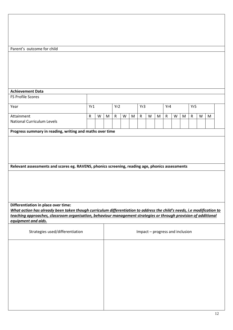| Parent's outcome for child                                                                                                                                                                                                                |           |   |   |              |   |   |              |   |   |              |                                 |   |           |   |   |  |
|-------------------------------------------------------------------------------------------------------------------------------------------------------------------------------------------------------------------------------------------|-----------|---|---|--------------|---|---|--------------|---|---|--------------|---------------------------------|---|-----------|---|---|--|
|                                                                                                                                                                                                                                           |           |   |   |              |   |   |              |   |   |              |                                 |   |           |   |   |  |
|                                                                                                                                                                                                                                           |           |   |   |              |   |   |              |   |   |              |                                 |   |           |   |   |  |
|                                                                                                                                                                                                                                           |           |   |   |              |   |   |              |   |   |              |                                 |   |           |   |   |  |
|                                                                                                                                                                                                                                           |           |   |   |              |   |   |              |   |   |              |                                 |   |           |   |   |  |
| <b>Achievement Data</b>                                                                                                                                                                                                                   |           |   |   |              |   |   |              |   |   |              |                                 |   |           |   |   |  |
| FS Profile Scores                                                                                                                                                                                                                         |           |   |   |              |   |   |              |   |   |              |                                 |   |           |   |   |  |
| Year                                                                                                                                                                                                                                      | Yr1       |   |   | Yr2          |   |   | Yr3          |   |   | Yr4          |                                 |   |           |   |   |  |
|                                                                                                                                                                                                                                           |           |   |   |              |   |   |              |   |   |              |                                 |   | Yr5       |   |   |  |
| Attainment<br><b>National Curriculum Levels</b>                                                                                                                                                                                           | ${\sf R}$ | W | M | $\mathsf{R}$ | W | M | $\mathsf{R}$ | W | M | $\mathsf{R}$ | W                               | M | ${\sf R}$ | W | M |  |
|                                                                                                                                                                                                                                           |           |   |   |              |   |   |              |   |   |              |                                 |   |           |   |   |  |
| Progress summary in reading, writing and maths over time                                                                                                                                                                                  |           |   |   |              |   |   |              |   |   |              |                                 |   |           |   |   |  |
| Relevant assessments and scores eg. RAVENS, phonics screening, reading age, phonics assessments                                                                                                                                           |           |   |   |              |   |   |              |   |   |              |                                 |   |           |   |   |  |
|                                                                                                                                                                                                                                           |           |   |   |              |   |   |              |   |   |              |                                 |   |           |   |   |  |
| Differentiation in place over time:                                                                                                                                                                                                       |           |   |   |              |   |   |              |   |   |              |                                 |   |           |   |   |  |
| What action has already been taken though curriculum differentiation to address the child's needs, i.e modification to<br>teaching approaches, classroom organisation, behaviour management strategies or through provision of additional |           |   |   |              |   |   |              |   |   |              |                                 |   |           |   |   |  |
| equipment and aids.                                                                                                                                                                                                                       |           |   |   |              |   |   |              |   |   |              |                                 |   |           |   |   |  |
| Strategies used/differentiation                                                                                                                                                                                                           |           |   |   |              |   |   |              |   |   |              | Impact - progress and inclusion |   |           |   |   |  |
|                                                                                                                                                                                                                                           |           |   |   |              |   |   |              |   |   |              |                                 |   |           |   |   |  |
|                                                                                                                                                                                                                                           |           |   |   |              |   |   |              |   |   |              |                                 |   |           |   |   |  |
|                                                                                                                                                                                                                                           |           |   |   |              |   |   |              |   |   |              |                                 |   |           |   |   |  |
|                                                                                                                                                                                                                                           |           |   |   |              |   |   |              |   |   |              |                                 |   |           |   |   |  |
|                                                                                                                                                                                                                                           |           |   |   |              |   |   |              |   |   |              |                                 |   |           |   |   |  |
|                                                                                                                                                                                                                                           |           |   |   |              |   |   |              |   |   |              |                                 |   |           |   |   |  |
|                                                                                                                                                                                                                                           |           |   |   |              |   |   |              |   |   |              |                                 |   |           |   |   |  |
|                                                                                                                                                                                                                                           |           |   |   |              |   |   |              |   |   |              |                                 |   |           |   |   |  |
|                                                                                                                                                                                                                                           |           |   |   |              |   |   |              |   |   |              |                                 |   |           |   |   |  |
|                                                                                                                                                                                                                                           |           |   |   |              |   |   |              |   |   |              |                                 |   |           |   |   |  |